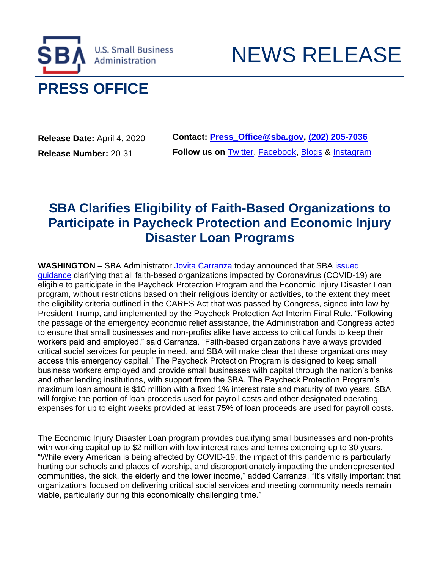

**Release Date:** April 4, 2020 **Release Number:** 20-31

**Contact: [Press\\_Office@sba.gov,](mailto:Press_Office@sba.gov) [\(202\) 205-7036](tel:(202)%20205-7036) Follow us on** [Twitter,](https://lnks.gd/l/eyJhbGciOiJIUzI1NiJ9.eyJidWxsZXRpbl9saW5rX2lkIjoxMDAsInVyaSI6ImJwMjpjbGljayIsImJ1bGxldGluX2lkIjoiMjAyMDA0MDQuMTk3NTg5MTEiLCJ1cmwiOiJodHRwOi8vd3d3LnR3aXR0ZXIuY29tL1NCQWdvdj91dG1fbWVkaXVtPWVtYWlsJnV0bV9zb3VyY2U9Z292ZGVsaXZlcnkifQ.pprsDsxOSWGMS1n-v9kM3C7zhdd6TuyxUlS9sXIxlPY/br/77051952959-l) [Facebook,](https://lnks.gd/l/eyJhbGciOiJIUzI1NiJ9.eyJidWxsZXRpbl9saW5rX2lkIjoxMDEsInVyaSI6ImJwMjpjbGljayIsImJ1bGxldGluX2lkIjoiMjAyMDA0MDQuMTk3NTg5MTEiLCJ1cmwiOiJodHRwOi8vd3d3LmZhY2Vib29rLmNvbS9zYmFnb3Y_dXRtX21lZGl1bT1lbWFpbCZ1dG1fc291cmNlPWdvdmRlbGl2ZXJ5In0.UI7BexN1sivm4RPzPR3j3r7B8He9VAGnTBbya8O2LO8/br/77051952959-l) [Blogs](https://lnks.gd/l/eyJhbGciOiJIUzI1NiJ9.eyJidWxsZXRpbl9saW5rX2lkIjoxMDIsInVyaSI6ImJwMjpjbGljayIsImJ1bGxldGluX2lkIjoiMjAyMDA0MDQuMTk3NTg5MTEiLCJ1cmwiOiJodHRwOi8vd3d3LnNiYS5nb3YvYmxvZ3M_dXRtX21lZGl1bT1lbWFpbCZ1dG1fc291cmNlPWdvdmRlbGl2ZXJ5In0.HN-rsuIwCND933YwXdoH5j4tfycUXbo4U7ZYsnUc_n4/br/77051952959-l) & [Instagram](https://lnks.gd/l/eyJhbGciOiJIUzI1NiJ9.eyJidWxsZXRpbl9saW5rX2lkIjoxMDMsInVyaSI6ImJwMjpjbGljayIsImJ1bGxldGluX2lkIjoiMjAyMDA0MDQuMTk3NTg5MTEiLCJ1cmwiOiJodHRwczovL3d3dy5pbnN0YWdyYW0uY29tL3NiYWdvdi8_dXRtX21lZGl1bT1lbWFpbCZ1dG1fc291cmNlPWdvdmRlbGl2ZXJ5In0.cxqYR9VdtsSjiqfn24o2ghUBCoP92TE248jjZIcATfQ/br/77051952959-l)

NEWS RELEASE

## **SBA Clarifies Eligibility of Faith-Based Organizations to Participate in Paycheck Protection and Economic Injury Disaster Loan Programs**

**WASHINGTON –** SBA Administrator [Jovita Carranza](https://lnks.gd/l/eyJhbGciOiJIUzI1NiJ9.eyJidWxsZXRpbl9saW5rX2lkIjoxMDQsInVyaSI6ImJwMjpjbGljayIsImJ1bGxldGluX2lkIjoiMjAyMDA0MDQuMTk3NTg5MTEiLCJ1cmwiOiJodHRwczovL3d3dy5zYmEuZ292L3BlcnNvbi9qb3ZpdGEtY2FycmFuemEvP3V0bV9tZWRpdW09ZW1haWwmdXRtX3NvdXJjZT1nb3ZkZWxpdmVyeSJ9.7SBC2xAgdKWxBf5fdBr3XDA4DQ7iQdPF9OXEbzaJGsY/br/77051952959-l) today announced that SBA [issued](https://lnks.gd/l/eyJhbGciOiJIUzI1NiJ9.eyJidWxsZXRpbl9saW5rX2lkIjoxMDUsInVyaSI6ImJwMjpjbGljayIsImJ1bGxldGluX2lkIjoiMjAyMDA0MDQuMTk3NTg5MTEiLCJ1cmwiOiJodHRwOi8vd3d3LnNiYS5nb3YvcGF5Y2hlY2twcm90ZWN0aW9uP3V0bV9tZWRpdW09ZW1haWwmdXRtX3NvdXJjZT1nb3ZkZWxpdmVyeSJ9.r-8a8RIDik6Dq09bt7dRW7pmYR0aCodoEYcTvHHuvR0/br/77051952959-l)  [guidance](https://lnks.gd/l/eyJhbGciOiJIUzI1NiJ9.eyJidWxsZXRpbl9saW5rX2lkIjoxMDUsInVyaSI6ImJwMjpjbGljayIsImJ1bGxldGluX2lkIjoiMjAyMDA0MDQuMTk3NTg5MTEiLCJ1cmwiOiJodHRwOi8vd3d3LnNiYS5nb3YvcGF5Y2hlY2twcm90ZWN0aW9uP3V0bV9tZWRpdW09ZW1haWwmdXRtX3NvdXJjZT1nb3ZkZWxpdmVyeSJ9.r-8a8RIDik6Dq09bt7dRW7pmYR0aCodoEYcTvHHuvR0/br/77051952959-l) clarifying that all faith-based organizations impacted by Coronavirus (COVID-19) are eligible to participate in the Paycheck Protection Program and the Economic Injury Disaster Loan program, without restrictions based on their religious identity or activities, to the extent they meet the eligibility criteria outlined in the CARES Act that was passed by Congress, signed into law by President Trump, and implemented by the Paycheck Protection Act Interim Final Rule. "Following the passage of the emergency economic relief assistance, the Administration and Congress acted to ensure that small businesses and non-profits alike have access to critical funds to keep their workers paid and employed," said Carranza. "Faith-based organizations have always provided critical social services for people in need, and SBA will make clear that these organizations may access this emergency capital." The Paycheck Protection Program is designed to keep small business workers employed and provide small businesses with capital through the nation's banks and other lending institutions, with support from the SBA. The Paycheck Protection Program's maximum loan amount is \$10 million with a fixed 1% interest rate and maturity of two years. SBA will forgive the portion of loan proceeds used for payroll costs and other designated operating expenses for up to eight weeks provided at least 75% of loan proceeds are used for payroll costs.

The Economic Injury Disaster Loan program provides qualifying small businesses and non-profits with working capital up to \$2 million with low interest rates and terms extending up to 30 years. "While every American is being affected by COVID-19, the impact of this pandemic is particularly hurting our schools and places of worship, and disproportionately impacting the underrepresented communities, the sick, the elderly and the lower income," added Carranza. "It's vitally important that organizations focused on delivering critical social services and meeting community needs remain viable, particularly during this economically challenging time."